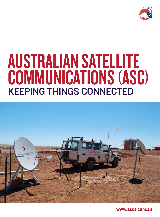

## Australian Satellite COMMUNICATIONS (ASC) Keeping things connected



www.ascs.com.au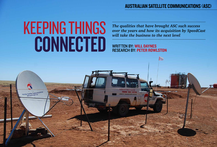*The qualities that have brought ASC such success over the years and how its acquisition by SpeedCast will take the business to the next level* 

## Australian Satellite Communications (ASC)

# KEEPING THINGS CONNECTED

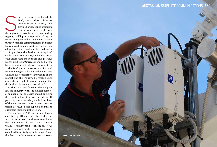ince it was established in 1985, Australian Satellite Communications (ASC) has provided a wide range of satellite communications solutions throughout Australia and surrounding 1985, Australian Satellite Communications (ASC) has provided a wide range of satellite communications solutions regions, building up a reputation along the way as being the leading provider of reliable, turnkey satellite communications solutions, focusing on the mining, oil & gas, construction, education, defence, and maritime, industries.

"Right from the business's inception," explains Paul Krzystoszek, Solutions Director, "the vision that the founder and previous managing director Chris Joseland had for the business was for it to always endeavour to be at the forefront of the sector and first with new technologies, solutions and innovations. Utilising his considerable knowledge of the market and the industry he really helped establish the level of entrepreneurship that the business has retained ever since."

In the years that followed the company led the industry with the development of a number of technologies including being the first to adopt its iDirect broadband IP platform, which essentially marked the dawn of the era that saw the very small aperture terminal (VSAT) being supplied on mass to customers throughout the region.

The success of ASC in the last decade can in significant part be linked to Australia's mineral and resources boom that commenced during 2005. "In many ways," Krzystoszek continues, "our timing in adopting the iDirect technology coincided beautifully with the boom. It was the demand of this sector for such systems



## AUSTRALIAN SATELLITE COMMUNICATIONS (ASC)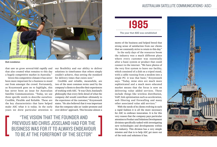"The vision that the founder and PREVIOUS MD CHRIS JOSELAND HAD FOR THE business was for it to always endeavour to be at the forefront of the sector"

that saw us grow several-fold rapidly and that also created what remains to this day a hugely competitive market in Australia."

Given this competitive climate it has never been more important for a business to stand out from amongst the crowd. Fortunately, as Krzystoszek goes on to highlight, this has never been an issue for Australian Satellite Communications. "Today, we use three specific words to describe ourselves: Credible, Flexible and Reliable. These are the key characteristics that have helped make ASC what it is today. In the early years we drew particular attention to

our flexibility and our ability to deliver solutions in timeframes that others simply couldn't achieve, thus setting the standard for delivery times that exists now."

Credible and reliable, meanwhile, are two of the most common terms used by the company's clients to describe their experiences of working with ASC. "It was Chris Joseland's philosophy that every little detail of what the company did would contribute ultimately to the experience of the customer," Krzystoszek states. "He also believed that it was important that the company take an 'under promote and over deliver' approach. This became almost a

motto of the business and helped breed that strong sense of satisfaction from our clients that we constantly strive to retain to this day."

In the early days of the resources boom the industry was a much different place where every customer was essentially after a basic system or product that could connect to the internet. "We have photos of the very first system to leave our facility, which consisted of a dish on a tripod stand, with a cable running from a modem into a single PC: it was that basic," Krzystoszek says. "Today, mine sites are much more sophisticated and a much more educated market means that the focus is now on delivering value added services. These include things like wireless distribution, VoIP, link optimisation such as acceleration, web filtering and firewalling and many other associated value add services."

With the needs of its clients evolving in such a rapid fashion it is all the more necessary for ASC to embrace innovation. It is for this very reason that the company pays particular attention to Product and Solutions Development divisions specifically tasked with investigating new technologies and developments within the industry. This division has a very simple mission and that is to help ASC get more out of the tools and solutions it has.





### Dish installation

## Australian Satellite Communications (ASC)

1985

The year that ASC was established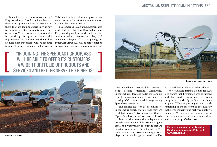## "In joining the SpeedCast Group, ASC WILL BE ABLE TO OFFER ITS CUSTOMERS a wider portfolio of products and services and better serve thier needs"



"When it comes to the resources sector," Krzystoszek says, "we know for a fact that there are a great number of projects out there that are looking specifically at how to achieve greater automation of their operations. This drive towards automation is resulting in greater bandwidth requirements at the mine sites themselves as more data throughput will be required to control various equipment and processes.

> services and better serve its global customers' needs beyond Australia. Meanwhile, SpeedCast will leverage ASC's outstanding team to deliver continuity of experience for existing ASC customers, while augmenting SpeedCast's own team.

on par with known global brands worldwide." The established immediate plan for ASC is to ensure that it remains a well organised and structured organisation, even as its integration with SpeedCast continues at pace. "We are pushing forward with remaining at the forefront of the industry in the ever changing and highly competitive industry. We have a strategy and plan in place to remain sector leaders, competitive and as always, profitable." **B** 

"The biggest plus for us by joining by SpeedCast is clearly the fact that they are a global player," Krzystoszek enthuses. "SpeedCast has the infrastructure already in place and that means that today we can provide services on a global scale and gain access to a vast variety of solutions that we didn't previously have. The net result for ASC is that we can now become a more aggressive player on the world stage and one that will be

This therefore is a real area of growth that we expect to take off as more automation in mines becomes a reality."

In December 2012, an announcement was made declaring that SpeedCast Ltd, a Hong Kong-based global network and satellite communications service provider, had completed a buyout of ASC. In joining the SpeedCast Group, ASC will be able to offer its customers a wider portfolio of products and

Remote site communication

Remote site trailer



## Australian Satellite Communications (ASC)

For more information about Australian Satellite Communications (ASC) visit: www.ascs.com.au